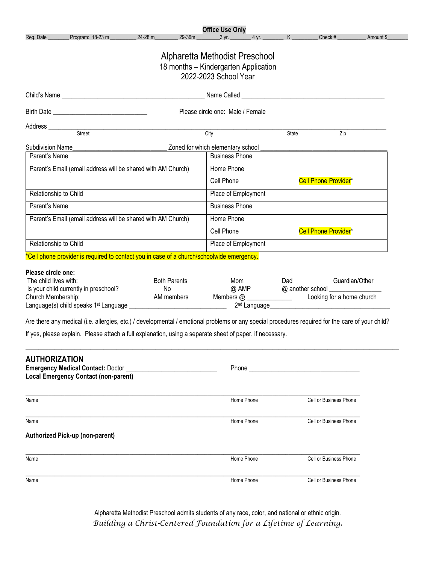| Program: 18-23 m<br>24-28 m<br>Reg. Date                                                                                                                                                                                                                                                                                                                                                                                                                                               |                                         | <b>Office Use Only</b>                                                                          |                                                                                                                                                                                                                                                 |                                                 |           |
|----------------------------------------------------------------------------------------------------------------------------------------------------------------------------------------------------------------------------------------------------------------------------------------------------------------------------------------------------------------------------------------------------------------------------------------------------------------------------------------|-----------------------------------------|-------------------------------------------------------------------------------------------------|-------------------------------------------------------------------------------------------------------------------------------------------------------------------------------------------------------------------------------------------------|-------------------------------------------------|-----------|
|                                                                                                                                                                                                                                                                                                                                                                                                                                                                                        | 29-36m                                  | $3 \text{ yr}$ .<br>$4$ yr.                                                                     | K                                                                                                                                                                                                                                               | Check #                                         | Amount \$ |
|                                                                                                                                                                                                                                                                                                                                                                                                                                                                                        |                                         | Alpharetta Methodist Preschool<br>18 months - Kindergarten Application<br>2022-2023 School Year |                                                                                                                                                                                                                                                 |                                                 |           |
|                                                                                                                                                                                                                                                                                                                                                                                                                                                                                        |                                         |                                                                                                 |                                                                                                                                                                                                                                                 |                                                 |           |
|                                                                                                                                                                                                                                                                                                                                                                                                                                                                                        |                                         | Please circle one: Male / Female                                                                |                                                                                                                                                                                                                                                 |                                                 |           |
|                                                                                                                                                                                                                                                                                                                                                                                                                                                                                        |                                         |                                                                                                 |                                                                                                                                                                                                                                                 |                                                 |           |
| Address<br>Street                                                                                                                                                                                                                                                                                                                                                                                                                                                                      |                                         | City                                                                                            | State                                                                                                                                                                                                                                           | Zip                                             |           |
|                                                                                                                                                                                                                                                                                                                                                                                                                                                                                        |                                         |                                                                                                 |                                                                                                                                                                                                                                                 |                                                 |           |
| Subdivision Name<br>Parent's Name                                                                                                                                                                                                                                                                                                                                                                                                                                                      |                                         | Zoned for which elementary school<br><b>Business Phone</b>                                      |                                                                                                                                                                                                                                                 |                                                 |           |
| Parent's Email (email address will be shared with AM Church)                                                                                                                                                                                                                                                                                                                                                                                                                           |                                         | Home Phone                                                                                      |                                                                                                                                                                                                                                                 |                                                 |           |
|                                                                                                                                                                                                                                                                                                                                                                                                                                                                                        |                                         |                                                                                                 |                                                                                                                                                                                                                                                 |                                                 |           |
|                                                                                                                                                                                                                                                                                                                                                                                                                                                                                        |                                         | Cell Phone                                                                                      |                                                                                                                                                                                                                                                 | <b>Cell Phone Provider*</b>                     |           |
| Relationship to Child                                                                                                                                                                                                                                                                                                                                                                                                                                                                  |                                         | Place of Employment                                                                             |                                                                                                                                                                                                                                                 |                                                 |           |
| Parent's Name                                                                                                                                                                                                                                                                                                                                                                                                                                                                          |                                         | <b>Business Phone</b>                                                                           |                                                                                                                                                                                                                                                 |                                                 |           |
| Parent's Email (email address will be shared with AM Church)                                                                                                                                                                                                                                                                                                                                                                                                                           |                                         | Home Phone                                                                                      |                                                                                                                                                                                                                                                 |                                                 |           |
|                                                                                                                                                                                                                                                                                                                                                                                                                                                                                        |                                         | Cell Phone                                                                                      |                                                                                                                                                                                                                                                 | Cell Phone Provider*                            |           |
| Relationship to Child                                                                                                                                                                                                                                                                                                                                                                                                                                                                  |                                         | Place of Employment                                                                             |                                                                                                                                                                                                                                                 |                                                 |           |
| *Cell phone provider is required to contact you in case of a church/schoolwide emergency.                                                                                                                                                                                                                                                                                                                                                                                              |                                         |                                                                                                 |                                                                                                                                                                                                                                                 |                                                 |           |
|                                                                                                                                                                                                                                                                                                                                                                                                                                                                                        |                                         |                                                                                                 |                                                                                                                                                                                                                                                 |                                                 |           |
|                                                                                                                                                                                                                                                                                                                                                                                                                                                                                        | <b>Both Parents</b><br>No<br>AM members | Mom<br>$@$ AMP                                                                                  | Dad<br>2 <sup>nd</sup> Language experience and a manufacturer of the state of the state of the state of the state of the state of the state of the state of the state of the state of the state of the state of the state of the state of the s | Guardian/Other<br>@ another school ____________ |           |
| The child lives with:<br>Is your child currently in preschool?                                                                                                                                                                                                                                                                                                                                                                                                                         |                                         |                                                                                                 |                                                                                                                                                                                                                                                 |                                                 |           |
|                                                                                                                                                                                                                                                                                                                                                                                                                                                                                        |                                         |                                                                                                 |                                                                                                                                                                                                                                                 |                                                 |           |
|                                                                                                                                                                                                                                                                                                                                                                                                                                                                                        |                                         |                                                                                                 |                                                                                                                                                                                                                                                 |                                                 |           |
|                                                                                                                                                                                                                                                                                                                                                                                                                                                                                        |                                         | Home Phone                                                                                      |                                                                                                                                                                                                                                                 | Cell or Business Phone                          |           |
|                                                                                                                                                                                                                                                                                                                                                                                                                                                                                        |                                         | Home Phone                                                                                      |                                                                                                                                                                                                                                                 | Cell or Business Phone                          |           |
|                                                                                                                                                                                                                                                                                                                                                                                                                                                                                        |                                         |                                                                                                 |                                                                                                                                                                                                                                                 |                                                 |           |
| Please circle one:<br>Church Membership:<br>Are there any medical (i.e. allergies, etc.) / developmental / emotional problems or any special procedures required for the care of your child?<br>If yes, please explain. Please attach a full explanation, using a separate sheet of paper, if necessary.<br><b>AUTHORIZATION</b><br><b>Emergency Medical Contact: Doctor</b><br><b>Local Emergency Contact (non-parent)</b><br>Name<br>Name<br>Authorized Pick-up (non-parent)<br>Name |                                         | Home Phone                                                                                      |                                                                                                                                                                                                                                                 | Cell or Business Phone                          |           |

Alpharetta Methodist Preschool admits students of any race, color, and national or ethnic origin. *Building a Christ-Centered Foundation for a Lifetime of Learning.*